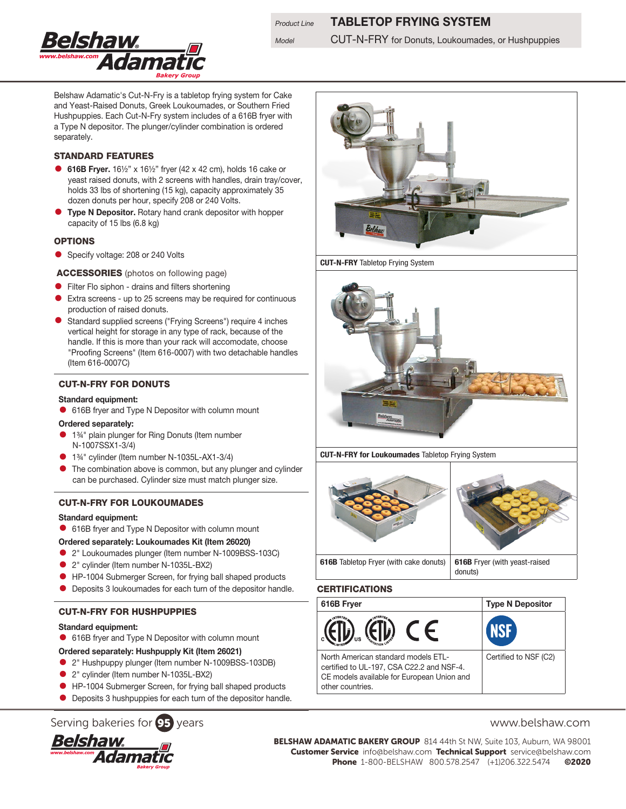

## **Product Line TABLETOP FRYING SYSTEM**

Model **CUT-N-FRY** for Donuts, Loukoumades, or Hushpuppies

Belshaw Adamatic's Cut-N-Fry is a tabletop frying system for Cake and Yeast-Raised Donuts, Greek Loukoumades, or Southern Fried Hushpuppies. Each Cut-N-Fry system includes of a 616B fryer with a Type N depositor. The plunger/cylinder combination is ordered separately.

#### STANDARD FEATURES

- 616B Fryer. 16½" x 16½" fryer (42 x 42 cm), holds 16 cake or yeast raised donuts, with 2 screens with handles, drain tray/cover, holds 33 lbs of shortening (15 kg), capacity approximately 35 dozen donuts per hour, specify 208 or 240 Volts.
- Type N Depositor. Rotary hand crank depositor with hopper capacity of 15 lbs (6.8 kg)

#### **OPTIONS**

• Specify voltage: 208 or 240 Volts

ACCESSORIES (photos on following page)

- **•** Filter Flo siphon drains and filters shortening
- Extra screens up to 25 screens may be required for continuous production of raised donuts.
- Standard supplied screens ("Frying Screens") require 4 inches vertical height for storage in any type of rack, because of the handle. If this is more than your rack will accomodate, choose "Proofing Screens" (Item 616-0007) with two detachable handles (Item 616-0007C)

#### CUT-N-FRY FOR DONUTS

#### Standard equipment:

• 616B fryer and Type N Depositor with column mount

#### Ordered separately:

- 1%<sup>"</sup> plain plunger for Ring Donuts (Item number N-1007SSX1-3/4)
- <sup>1</sup> 1<sup>34</sup> cylinder (Item number N-1035L-AX1-3/4)
- The combination above is common, but any plunger and cylinder can be purchased. Cylinder size must match plunger size.

#### CUT-N-FRY FOR LOUKOUMADES

#### Standard equipment:

• 616B fryer and Type N Depositor with column mount

#### Ordered separately: Loukoumades Kit (Item 26020)

- 2" Loukoumades plunger (Item number N-1009BSS-103C)
- <sup>2</sup> 2" cylinder (Item number N-1035L-BX2)
- HP-1004 Submerger Screen, for frying ball shaped products
- **Deposits 3 loukoumades for each turn of the depositor handle.**

### CUT-N-FRY FOR HUSHPUPPIES

#### Standard equipment:

• 616B fryer and Type N Depositor with column mount

#### Ordered separately: Hushpupply Kit (Item 26021)

- 2" Hushpuppy plunger (Item number N-1009BSS-103DB)
- 2" cylinder (Item number N-1035L-BX2)
- **HP-1004 Submerger Screen, for frying ball shaped products**
- **•** Deposits 3 hushpuppies for each turn of the depositor handle.

# Serving bakeries for **95** years www.belshaw.com





CUT-N-FRY for Loukoumades Tabletop Frying System



#### CERTIFICATIONS





BELSHAW ADAMATIC BAKERY GROUP 814 44th St NW, Suite 103, Auburn, WA 98001 Customer Service info@belshaw.com Technical Support service@belshaw.com Phone 1-800-BELSHAW 800.578.2547 (+1)206.322.5474 ©2020